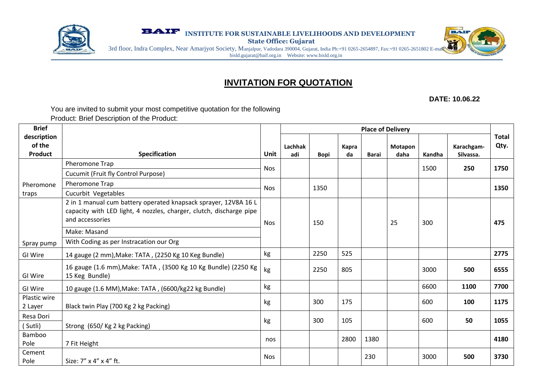

**EXAMPLE INSTITUTE FOR SUSTAINABLE LIVELIHOODS AND DEVELOPMENT** 

**State Office: Gujarat**



3rd floor, Indra Complex, Near Amarjyot Society, Manjalpur, Vadodara 390004, Gujarat, India Ph:+91 0265-2654897, Fax:+91 0265-2651802 E-mail: bisld.gujarat@baif.org.in Website: www.bisld.org.in

# **INVITATION FOR QUOTATION**

**DATE: 10.06.22**

You are invited to submit your most competitive quotation for the following Product: Brief Description of the Product:

| <b>Brief</b>                            |                                                                                                                                                                                                                      |            | <b>Place of Delivery</b> |             |             |              |                 |        |                         |                      |
|-----------------------------------------|----------------------------------------------------------------------------------------------------------------------------------------------------------------------------------------------------------------------|------------|--------------------------|-------------|-------------|--------------|-----------------|--------|-------------------------|----------------------|
| description<br>of the<br><b>Product</b> | Specification                                                                                                                                                                                                        | Unit       | Lachhak<br>adi           | <b>Bopi</b> | Kapra<br>da | <b>Barai</b> | Motapon<br>daha | Kandha | Karachgam-<br>Silvassa. | <b>Total</b><br>Qty. |
|                                         | Pheromone Trap<br>Cucumit (Fruit fly Control Purpose)                                                                                                                                                                | <b>Nos</b> |                          |             |             |              |                 | 1500   | 250                     | 1750                 |
| Pheromone<br>traps                      | Pheromone Trap<br>Cucurbit Vegetables                                                                                                                                                                                | <b>Nos</b> |                          | 1350        |             |              |                 |        |                         | 1350                 |
| Spray pump                              | 2 in 1 manual cum battery operated knapsack sprayer, 12V8A 16 L<br>capacity with LED light, 4 nozzles, charger, clutch, discharge pipe<br>and accessories<br>Make: Masand<br>With Coding as per Instracation our Org | <b>Nos</b> |                          | 150         |             |              | 25              | 300    |                         | 475                  |
| GI Wire                                 | 14 gauge (2 mm), Make: TATA, (2250 Kg 10 Keg Bundle)                                                                                                                                                                 | kg         |                          | 2250        | 525         |              |                 |        |                         | 2775                 |
| GI Wire                                 | 16 gauge (1.6 mm), Make: TATA, (3500 Kg 10 Kg Bundle) (2250 Kg<br>15 Keg Bundle)                                                                                                                                     | kg         |                          | 2250        | 805         |              |                 | 3000   | 500                     | 6555                 |
| GI Wire                                 | 10 gauge (1.6 MM), Make: TATA, (6600/kg22 kg Bundle)                                                                                                                                                                 | kg         |                          |             |             |              |                 | 6600   | 1100                    | 7700                 |
| Plastic wire<br>2 Layer                 | Black twin Play (700 Kg 2 kg Packing)                                                                                                                                                                                | kg         |                          | 300         | 175         |              |                 | 600    | 100                     | 1175                 |
| Resa Dori<br>(Sutli)                    | Strong (650/Kg 2 kg Packing)                                                                                                                                                                                         | kg         |                          | 300         | 105         |              |                 | 600    | 50                      | 1055                 |
| Bamboo<br>Pole                          | 7 Fit Height                                                                                                                                                                                                         | nos        |                          |             | 2800        | 1380         |                 |        |                         | 4180                 |
| Cement<br>Pole                          | Size: 7" x 4" x 4" ft.                                                                                                                                                                                               | <b>Nos</b> |                          |             |             | 230          |                 | 3000   | 500                     | 3730                 |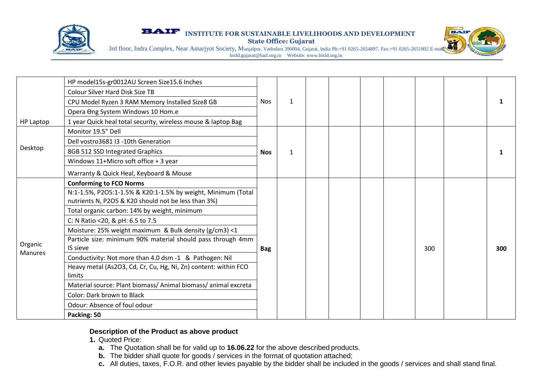

**EXAMPLE INSTITUTE FOR SUSTAINABLE LIVELIHOODS AND DEVELOPMENT** 

**State Office: Gujarat**



3rd floor, Indra Complex, Near Amarjyot Society, Manjalpur, Vadodara 390004, Gujarat, India Ph:+91 0265-2654897, Fax:+91 0265-2651802 E-mail: bisld.gujarat@baif.org.in Website: www.bisld.org.in

|                    | HP model15s-gr0012AU Screen Size15.6 Inches                               | Nos.       | $\mathbf{1}$ |  |  |     | 1   |
|--------------------|---------------------------------------------------------------------------|------------|--------------|--|--|-----|-----|
|                    | <b>Colour Silver Hard Disk Size TB</b>                                    |            |              |  |  |     |     |
|                    | CPU Model Ryzen 3 RAM Memory Installed Size8 GB                           |            |              |  |  |     |     |
|                    | Opera Ong System Windows 10 Hom.e                                         |            |              |  |  |     |     |
| <b>HP Laptop</b>   | 1 year Quick heal total security, wireless mouse & laptop Bag             |            |              |  |  |     |     |
| Desktop            | Monitor 19.5" Dell                                                        | <b>Nos</b> | $\mathbf{1}$ |  |  |     |     |
|                    | Dell vostro3681 I3 -10th Generation                                       |            |              |  |  |     |     |
|                    | 8GB 512 SSD Integrated Graphics                                           |            |              |  |  |     |     |
|                    | Windows 11+Micro soft office + 3 year                                     |            |              |  |  |     |     |
|                    | Warranty & Quick Heal, Keyboard & Mouse                                   |            |              |  |  |     |     |
|                    | <b>Conforming to FCO Norms</b>                                            | <b>Bag</b> |              |  |  |     |     |
|                    | N:1-1.5%, P2O5:1-1.5% & K20:1-1.5% by weight, Minimum (Total              |            |              |  |  |     |     |
|                    | nutrients N, P2O5 & K20 should not be less than 3%)                       |            |              |  |  |     |     |
|                    | Total organic carbon: 14% by weight, minimum                              |            |              |  |  |     |     |
|                    | C: N Ratio <20, & pH: 6.5 to 7.5                                          |            |              |  |  |     |     |
|                    | Moisture: 25% weight maximum & Bulk density (g/cm3) <1                    |            |              |  |  |     |     |
| Organic<br>Manures | Particle size: minimum 90% material should pass through 4mm<br>IS sieve   |            |              |  |  | 300 | 300 |
|                    | Conductivity: Not more than 4.0 dsm -1 & Pathogen: Nil                    |            |              |  |  |     |     |
|                    | Heavy metal (As2O3, Cd, Cr, Cu, Hg, Ni, Zn) content: within FCO<br>limits |            |              |  |  |     |     |
|                    | Material source: Plant biomass/ Animal biomass/ animal excreta            |            |              |  |  |     |     |
|                    | Color: Dark brown to Black                                                |            |              |  |  |     |     |
|                    | Odour: Absence of foul odour                                              |            |              |  |  |     |     |
|                    | Packing: 50                                                               |            |              |  |  |     |     |

#### **Description of the Product as above product**

**1.** Quoted Price:

- **a.** The Quotation shall be for valid up to **16.06.22** for the above described products.
- **b.** The bidder shall quote for goods / services in the format of quotation attached;
- **c.** All duties, taxes, F.O.R. and other levies payable by the bidder shall be included in the goods / services and shall stand final.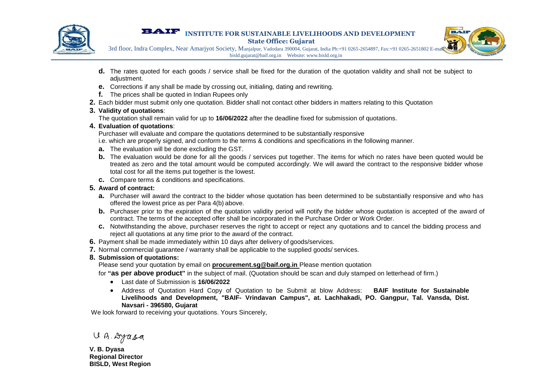

#### **EXAMPLE INSTITUTE FOR SUSTAINABLE LIVELIHOODS AND DEVELOPMENT State Office: Gujarat**



3rd floor, Indra Complex, Near Amarjyot Society, Manjalpur, Vadodara 390004, Gujarat, India Ph:+91 0265-2654897, Fax:+91 0265-2651802 E-mail: bisld.gujarat@baif.org.in Website: www.bisld.org.in

- **d.** The rates quoted for each goods / service shall be fixed for the duration of the quotation validity and shall not be subject to adjustment.
- **e.** Corrections if any shall be made by crossing out, initialing, dating and rewriting.
- **f.** The prices shall be quoted in Indian Rupees only
- **2.** Each bidder must submit only one quotation. Bidder shall not contact other bidders in matters relating to this Quotation

### **3. Validity of quotations**:

The quotation shall remain valid for up to **16/06/2022** after the deadline fixed for submission of quotations.

### **4. Evaluation of quotations**:

Purchaser will evaluate and compare the quotations determined to be substantially responsive

i.e. which are properly signed, and conform to the terms & conditions and specifications in the following manner.

- **a.** The evaluation will be done excluding the GST.
- **b.** The evaluation would be done for all the goods / services put together. The items for which no rates have been quoted would be treated as zero and the total amount would be computed accordingly. We will award the contract to the responsive bidder whose total cost for all the items put together is the lowest.
- **c.** Compare terms & conditions and specifications.

## **5. Award of contract:**

- **a.** Purchaser will award the contract to the bidder whose quotation has been determined to be substantially responsive and who has offered the lowest price as per Para 4(b) above.
- **b.** Purchaser prior to the expiration of the quotation validity period will notify the bidder whose quotation is accepted of the award of contract. The terms of the accepted offer shall be incorporated in the Purchase Order or Work Order.
- **c.** Notwithstanding the above, purchaser reserves the right to accept or reject any quotations and to cancel the bidding process and reject all quotations at any time prior to the award of the contract.
- **6.** Payment shall be made immediately within 10 days after delivery of goods/services.
- **7.** Normal commercial guarantee / warranty shall be applicable to the supplied goods/ services.

## **8. Submission of quotations:**

Please send your quotation by email on **procurement.sg@baif.org.in** Please mention quotation

- for **"as per above product"** in the subject of mail. (Quotation should be scan and duly stamped on letterhead of firm.)
	- Last date of Submission is **16/06/2022**
	- Address of Quotation Hard Copy of Quotation to be Submit at blow Address: **BAIF Institute for Sustainable Livelihoods and Development, "BAIF- Vrindavan Campus", at. Lachhakadi, PO. Gangpur, Tal. Vansda, Dist. Navsari - 396580, Gujarat**

We look forward to receiving your quotations. Yours Sincerely,

U.B. Dyasa

**V. B. Dyasa Regional Director BISLD, West Region**